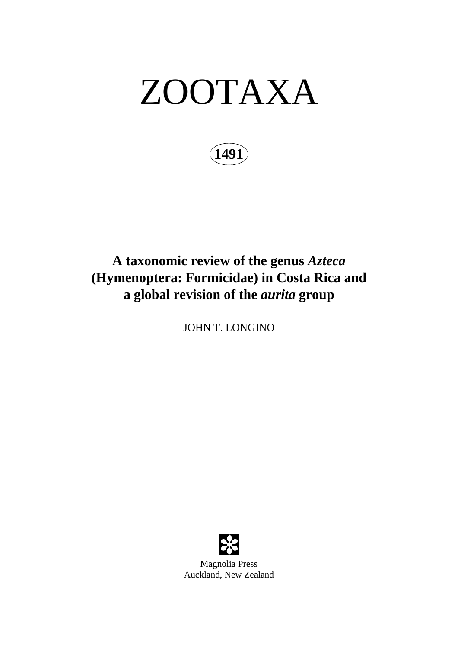# ZOOTAXA

**1491**

## **A taxonomic review of the genus** *Azteca* **(Hymenoptera: Formicidae) in Costa Rica and a global revision of the** *aurita* **group**

JOHN T. LONGINO



Magnolia Press Auckland, New Zealand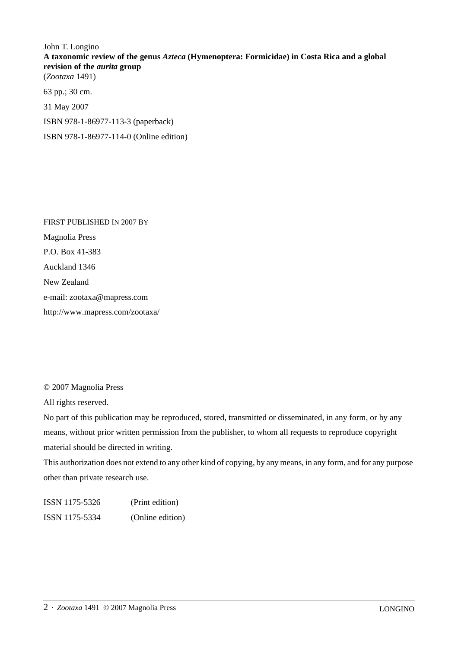John T. Longino **A taxonomic review of the genus** *Azteca* **(Hymenoptera: Formicidae) in Costa Rica and a global revision of the** *aurita* **group** (*Zootaxa* 1491)

63 pp.; 30 cm.

31 May 2007

ISBN 978-1-86977-113-3 (paperback)

ISBN 978-1-86977-114-0 (Online edition)

FIRST PUBLISHED IN 2007 BY Magnolia Press P.O. Box 41-383 Auckland 1346 New Zealand e-mail: zootaxa@mapress.com http://www.mapress.com/zootaxa/

© 2007 Magnolia Press

All rights reserved.

No part of this publication may be reproduced, stored, transmitted or disseminated, in any form, or by any means, without prior written permission from the publisher, to whom all requests to reproduce copyright material should be directed in writing.

This authorization does not extend to any other kind of copying, by any means, in any form, and for any purpose other than private research use.

ISSN 1175-5326 (Print edition) ISSN 1175-5334 (Online edition)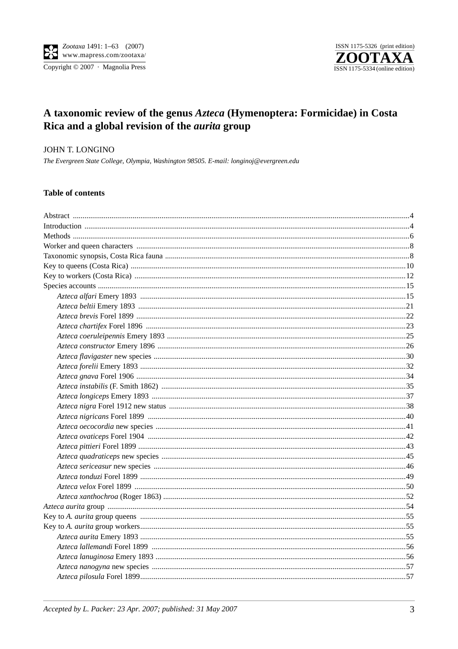

Copyright © 2007 · Magnolia Press



### A taxonomic review of the genus Azteca (Hymenoptera: Formicidae) in Costa Rica and a global revision of the *aurita* group

#### JOHN T. LONGINO

The Evergreen State College, Olympia, Washington 98505. E-mail: longinoj@evergreen.edu

#### **Table of contents**